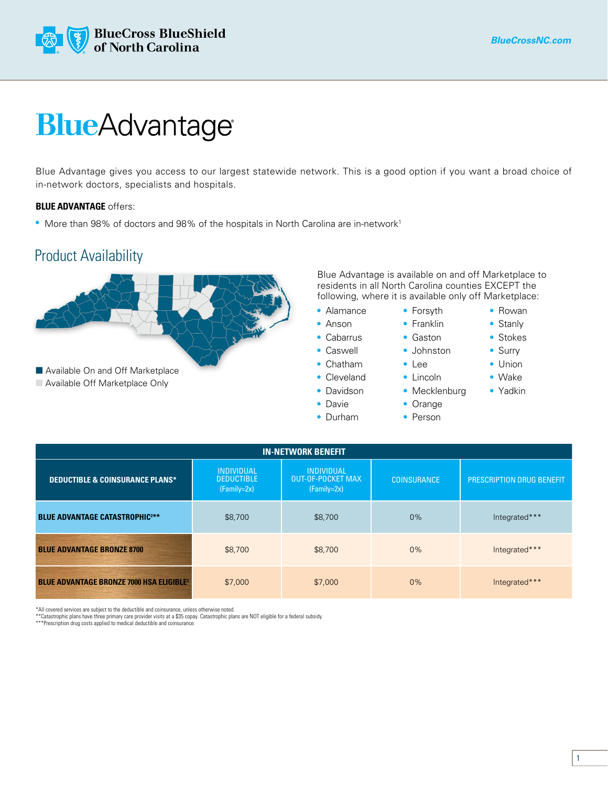

## **BlueAdvantage**

Blue Advantage gives you access to our largest statewide network. This is a good option if you want a broad choice of in-network doctors, specialists and hospitals.

## **BLUE ADVANTAGE** offers:

• More than 98% of doctors and 98% of the hospitals in North Carolina are in-network<sup>1</sup>

## Product Availability



Blue Advantage is available on and off Marketplace to residents in all North Carolina counties EXCEPT the following, where it is available only off Marketplace:

> • Forsyth • Franklin • Gaston • Johnston • Lee • Lincoln • Mecklenburg

- Alamance
- Anson
- Cabarrus
- Caswell
- Chatham
- Cleveland
- Davidson
- Davie
- Durham
- Rowan
- Stanly
	- Stokes
	- Surry
	- Union
	- Wake
	- Yadkin
- Orange • Person

| <b>IN-NETWORK BENEFIT</b>                                  |                                                         |                                                                |                    |                           |  |  |  |  |  |  |
|------------------------------------------------------------|---------------------------------------------------------|----------------------------------------------------------------|--------------------|---------------------------|--|--|--|--|--|--|
| <b>DEDUCTIBLE &amp; COINSURANCE PLANS*</b>                 | <b>INDIVIDUAL</b><br><b>DEDUCTIBLE</b><br>$(Family=2x)$ | <b>INDIVIDUAL</b><br><b>OUT-OF-POCKET MAX</b><br>$(Family=2x)$ | <b>COINSURANCE</b> | PRESCRIPTION DRUG BENEFIT |  |  |  |  |  |  |
| <b>BLUE ADVANTAGE CATASTROPHIC2**</b>                      | \$8,700                                                 | \$8,700                                                        | 0%                 | Integrated***             |  |  |  |  |  |  |
| <b>BLUE ADVANTAGE BRONZE 8700</b>                          | \$8,700                                                 | \$8,700                                                        | 0%                 | Integrated***             |  |  |  |  |  |  |
| <b>BLUE ADVANTAGE BRONZE 7000 HSA ELIGIBLE<sup>3</sup></b> | \$7,000                                                 | \$7,000                                                        | 0%                 | Integrated***             |  |  |  |  |  |  |

\*All covered services are subject to the deductible and coinsurance, unless otherwise noted.

\*\*Catastrophic plans have three primary care provider visits at a \$35 copay. Catastrophic plans are NOT eligible for a federal subsidy. \*\*\*Prescription drug costs applied to medical deductible and coinsurance.